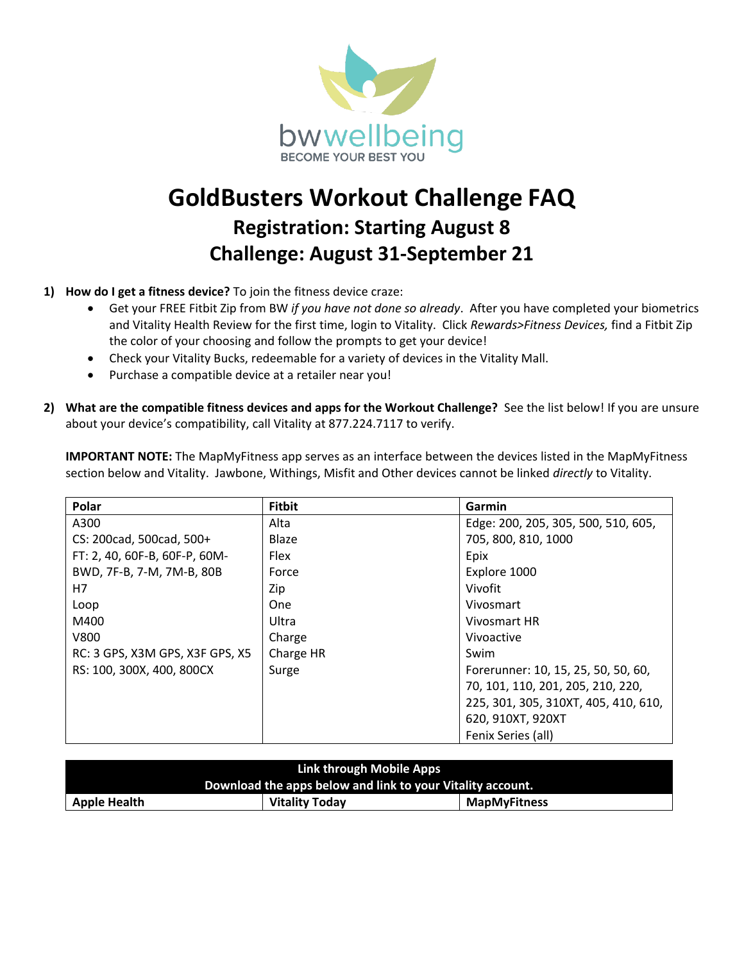

## **GoldBusters Workout Challenge FAQ Registration: Starting August 8 Challenge: August 31-September 21**

## **1) How do I get a fitness device?** To join the fitness device craze:

- Get your FREE Fitbit Zip from BW *if you have not done so already*. After you have completed your biometrics and Vitality Health Review for the first time, login to Vitality. Click *Rewards>Fitness Devices,* find a Fitbit Zip the color of your choosing and follow the prompts to get your device!
- Check your Vitality Bucks, redeemable for a variety of devices in the Vitality Mall.
- Purchase a compatible device at a retailer near you!
- **2) What are the compatible fitness devices and apps for the Workout Challenge?** See the list below! If you are unsure about your device's compatibility, call Vitality at 877.224.7117 to verify.

**IMPORTANT NOTE:** The MapMyFitness app serves as an interface between the devices listed in the MapMyFitness section below and Vitality. Jawbone, Withings, Misfit and Other devices cannot be linked *directly* to Vitality.

| Polar                           | <b>Fitbit</b> | Garmin                               |
|---------------------------------|---------------|--------------------------------------|
| A300                            | Alta          | Edge: 200, 205, 305, 500, 510, 605,  |
| CS: 200cad, 500cad, 500+        | Blaze         | 705, 800, 810, 1000                  |
| FT: 2, 40, 60F-B, 60F-P, 60M-   | Flex          | Epix                                 |
| BWD, 7F-B, 7-M, 7M-B, 80B       | Force         | Explore 1000                         |
| H7                              | Zip           | Vivofit                              |
| Loop                            | <b>One</b>    | Vivosmart                            |
| M400                            | Ultra         | Vivosmart HR                         |
| V800                            | Charge        | Vivoactive                           |
| RC: 3 GPS, X3M GPS, X3F GPS, X5 | Charge HR     | Swim                                 |
| RS: 100, 300X, 400, 800CX       | Surge         | Forerunner: 10, 15, 25, 50, 50, 60,  |
|                                 |               | 70, 101, 110, 201, 205, 210, 220,    |
|                                 |               | 225, 301, 305, 310XT, 405, 410, 610, |
|                                 |               | 620, 910XT, 920XT                    |
|                                 |               | Fenix Series (all)                   |

| Link through Mobile Apps                                   |                       |                     |  |  |
|------------------------------------------------------------|-----------------------|---------------------|--|--|
| Download the apps below and link to your Vitality account. |                       |                     |  |  |
| <b>Apple Health</b>                                        | <b>Vitality Today</b> | <b>MapMyFitness</b> |  |  |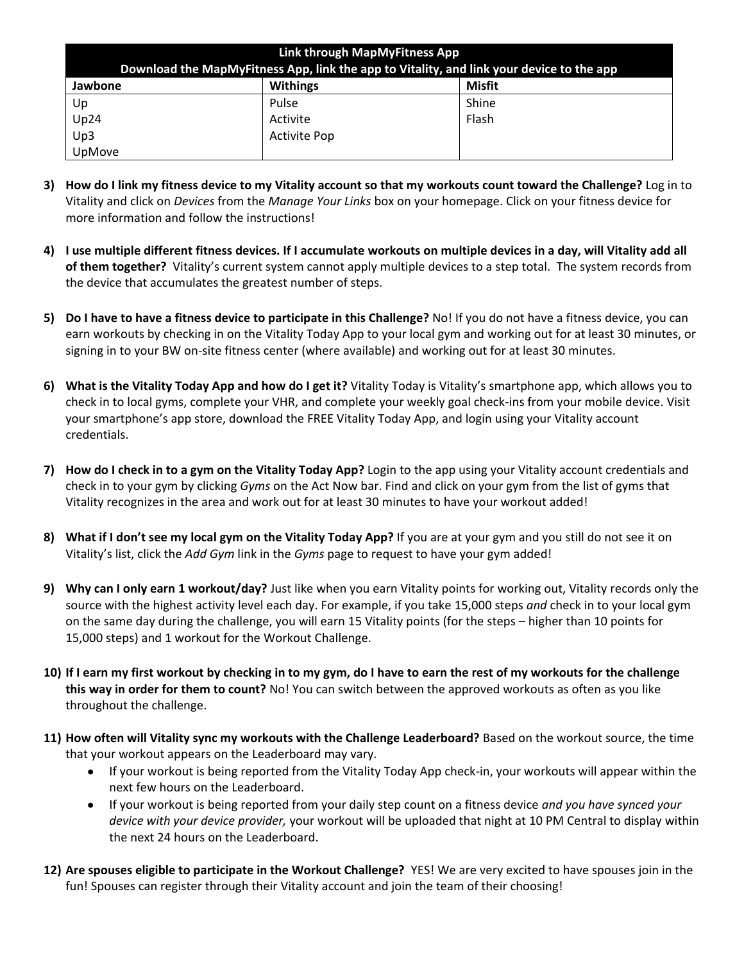| Link through MapMyFitness App                                                            |                     |        |  |  |
|------------------------------------------------------------------------------------------|---------------------|--------|--|--|
| Download the MapMyFitness App, link the app to Vitality, and link your device to the app |                     |        |  |  |
| Jawbone                                                                                  | <b>Withings</b>     | Misfit |  |  |
| Up                                                                                       | Pulse               | Shine  |  |  |
| Up24                                                                                     | Activite            | Flash  |  |  |
| Up3                                                                                      | <b>Activite Pop</b> |        |  |  |
| UpMove                                                                                   |                     |        |  |  |

- **3) How do I link my fitness device to my Vitality account so that my workouts count toward the Challenge?** Log in to Vitality and click on *Devices* from the *Manage Your Links* box on your homepage. Click on your fitness device for more information and follow the instructions!
- **4) I use multiple different fitness devices. If I accumulate workouts on multiple devices in a day, will Vitality add all of them together?** Vitality's current system cannot apply multiple devices to a step total. The system records from the device that accumulates the greatest number of steps.
- **5) Do I have to have a fitness device to participate in this Challenge?** No! If you do not have a fitness device, you can earn workouts by checking in on the Vitality Today App to your local gym and working out for at least 30 minutes, or signing in to your BW on-site fitness center (where available) and working out for at least 30 minutes.
- **6) What is the Vitality Today App and how do I get it?** Vitality Today is Vitality's smartphone app, which allows you to check in to local gyms, complete your VHR, and complete your weekly goal check-ins from your mobile device. Visit your smartphone's app store, download the FREE Vitality Today App, and login using your Vitality account credentials.
- **7) How do I check in to a gym on the Vitality Today App?** Login to the app using your Vitality account credentials and check in to your gym by clicking *Gyms* on the Act Now bar. Find and click on your gym from the list of gyms that Vitality recognizes in the area and work out for at least 30 minutes to have your workout added!
- **8) What if I don't see my local gym on the Vitality Today App?** If you are at your gym and you still do not see it on Vitality's list, click the *Add Gym* link in the *Gyms* page to request to have your gym added!
- **9) Why can I only earn 1 workout/day?** Just like when you earn Vitality points for working out, Vitality records only the source with the highest activity level each day. For example, if you take 15,000 steps *and* check in to your local gym on the same day during the challenge, you will earn 15 Vitality points (for the steps – higher than 10 points for 15,000 steps) and 1 workout for the Workout Challenge.
- **10) If I earn my first workout by checking in to my gym, do I have to earn the rest of my workouts for the challenge this way in order for them to count?** No! You can switch between the approved workouts as often as you like throughout the challenge.
- **11) How often will Vitality sync my workouts with the Challenge Leaderboard?** Based on the workout source, the time that your workout appears on the Leaderboard may vary.
	- If your workout is being reported from the Vitality Today App check-in, your workouts will appear within the next few hours on the Leaderboard.
	- If your workout is being reported from your daily step count on a fitness device *and you have synced your device with your device provider,* your workout will be uploaded that night at 10 PM Central to display within the next 24 hours on the Leaderboard.
- **12) Are spouses eligible to participate in the Workout Challenge?** YES! We are very excited to have spouses join in the fun! Spouses can register through their Vitality account and join the team of their choosing!